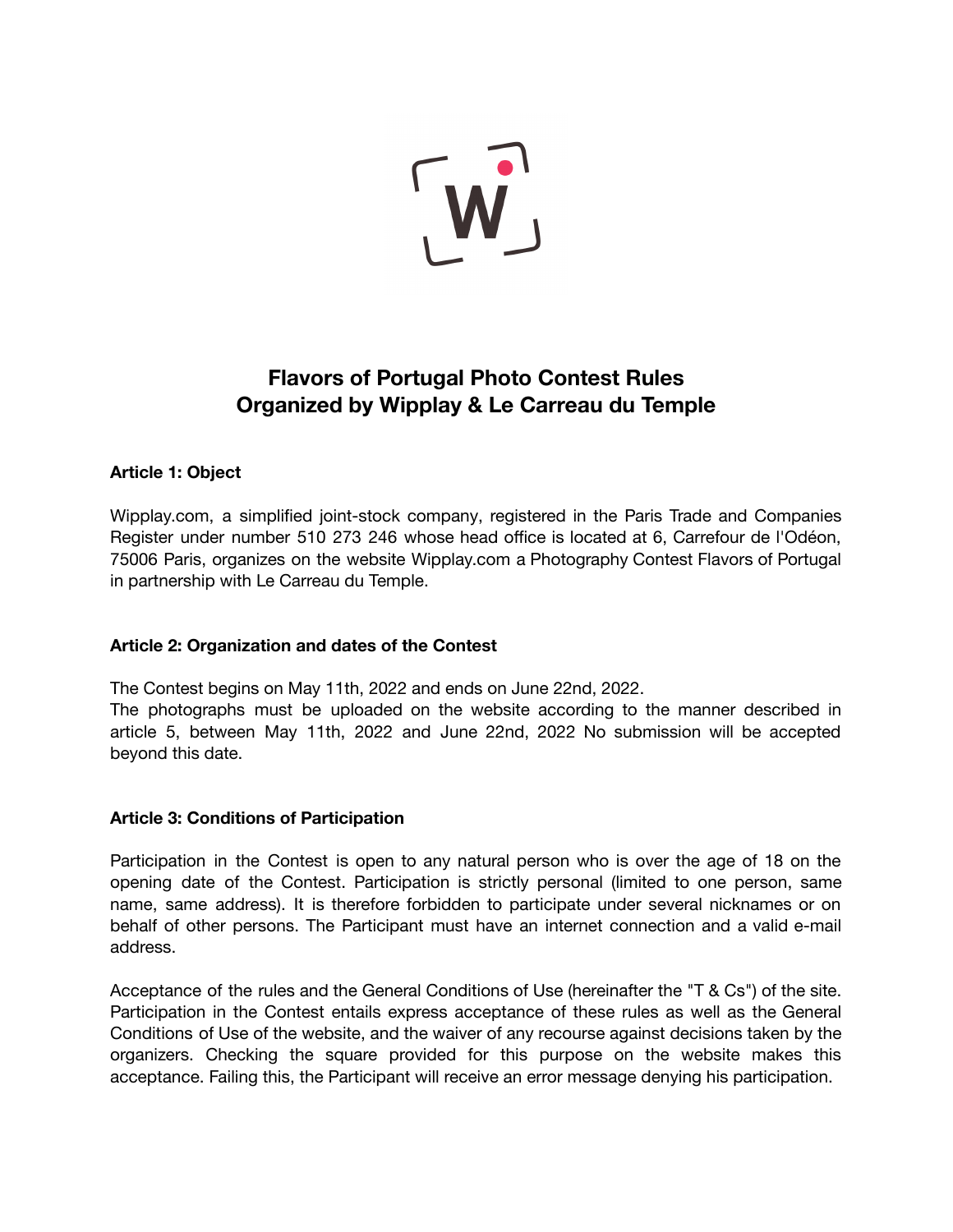

# **Flavors of Portugal Photo Contest Rules Organized by Wipplay & Le Carreau du Temple**

# **Article 1: Object**

Wipplay.com, a simplified joint-stock company, registered in the Paris Trade and Companies Register under number 510 273 246 whose head office is located at 6, Carrefour de l'Odéon, 75006 Paris, organizes on the website Wipplay.com a Photography Contest Flavors of Portugal in partnership with Le Carreau du Temple.

# **Article 2: Organization and dates of the Contest**

The Contest begins on May 11th, 2022 and ends on June 22nd, 2022.

The photographs must be uploaded on the website according to the manner described in article 5, between May 11th, 2022 and June 22nd, 2022 No submission will be accepted beyond this date.

# **Article 3: Conditions of Participation**

Participation in the Contest is open to any natural person who is over the age of 18 on the opening date of the Contest. Participation is strictly personal (limited to one person, same name, same address). It is therefore forbidden to participate under several nicknames or on behalf of other persons. The Participant must have an internet connection and a valid e-mail address.

Acceptance of the rules and the General Conditions of Use (hereinafter the "T & Cs") of the site. Participation in the Contest entails express acceptance of these rules as well as the General Conditions of Use of the website, and the waiver of any recourse against decisions taken by the organizers. Checking the square provided for this purpose on the website makes this acceptance. Failing this, the Participant will receive an error message denying his participation.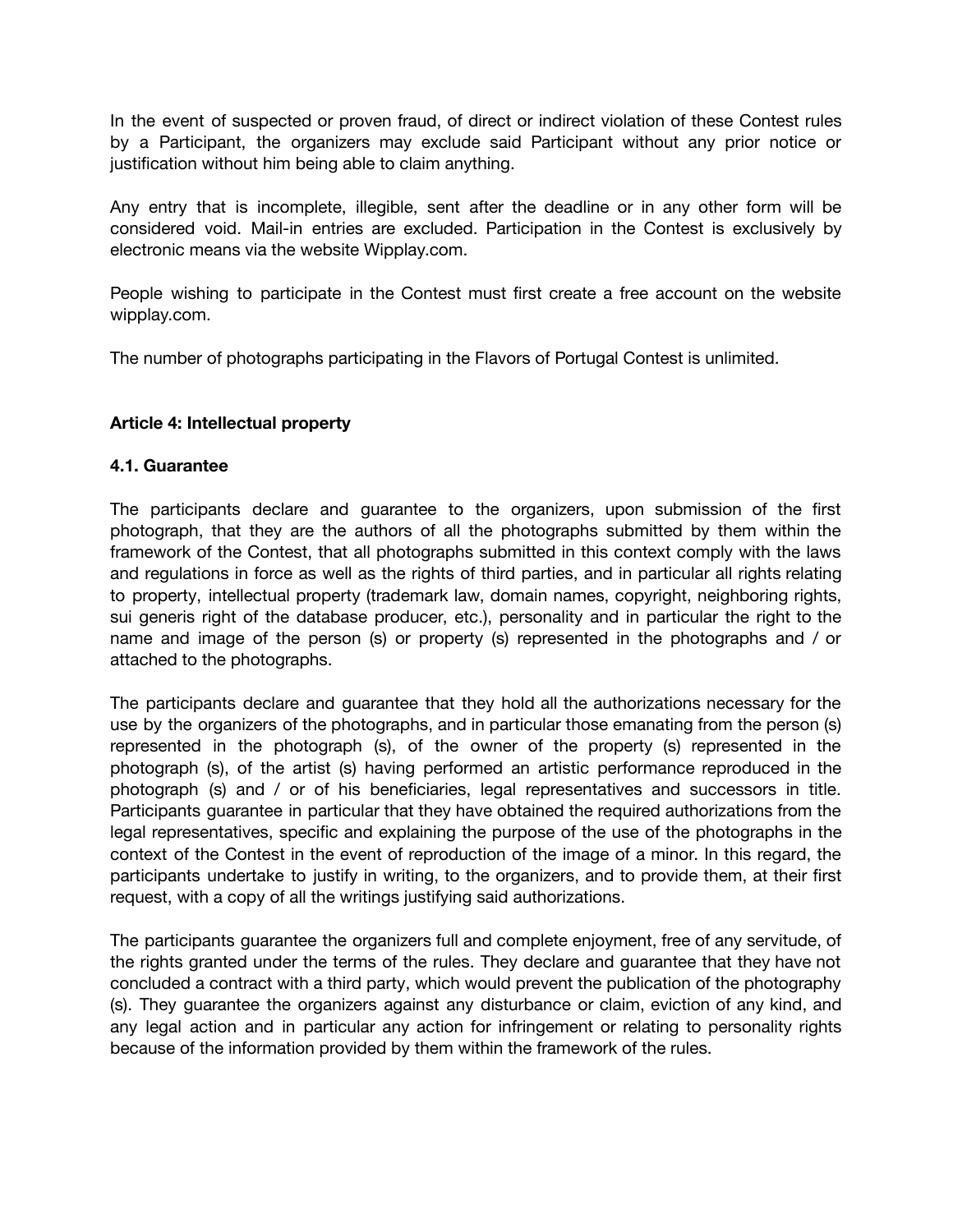In the event of suspected or proven fraud, of direct or indirect violation of these Contest rules by a Participant, the organizers may exclude said Participant without any prior notice or justification without him being able to claim anything.

Any entry that is incomplete, illegible, sent after the deadline or in any other form will be considered void. Mail-in entries are excluded. Participation in the Contest is exclusively by electronic means via the website Wipplay.com.

People wishing to participate in the Contest must first create a free account on the website wipplay.com.

The number of photographs participating in the Flavors of Portugal Contest is unlimited.

# **Article 4: Intellectual property**

# **4.1. Guarantee**

The participants declare and guarantee to the organizers, upon submission of the first photograph, that they are the authors of all the photographs submitted by them within the framework of the Contest, that all photographs submitted in this context comply with the laws and regulations in force as well as the rights of third parties, and in particular all rights relating to property, intellectual property (trademark law, domain names, copyright, neighboring rights, sui generis right of the database producer, etc.), personality and in particular the right to the name and image of the person (s) or property (s) represented in the photographs and / or attached to the photographs.

The participants declare and guarantee that they hold all the authorizations necessary for the use by the organizers of the photographs, and in particular those emanating from the person (s) represented in the photograph (s), of the owner of the property (s) represented in the photograph (s), of the artist (s) having performed an artistic performance reproduced in the photograph (s) and / or of his beneficiaries, legal representatives and successors in title. Participants guarantee in particular that they have obtained the required authorizations from the legal representatives, specific and explaining the purpose of the use of the photographs in the context of the Contest in the event of reproduction of the image of a minor. In this regard, the participants undertake to justify in writing, to the organizers, and to provide them, at their first request, with a copy of all the writings justifying said authorizations.

The participants guarantee the organizers full and complete enjoyment, free of any servitude, of the rights granted under the terms of the rules. They declare and guarantee that they have not concluded a contract with a third party, which would prevent the publication of the photography (s). They guarantee the organizers against any disturbance or claim, eviction of any kind, and any legal action and in particular any action for infringement or relating to personality rights because of the information provided by them within the framework of the rules.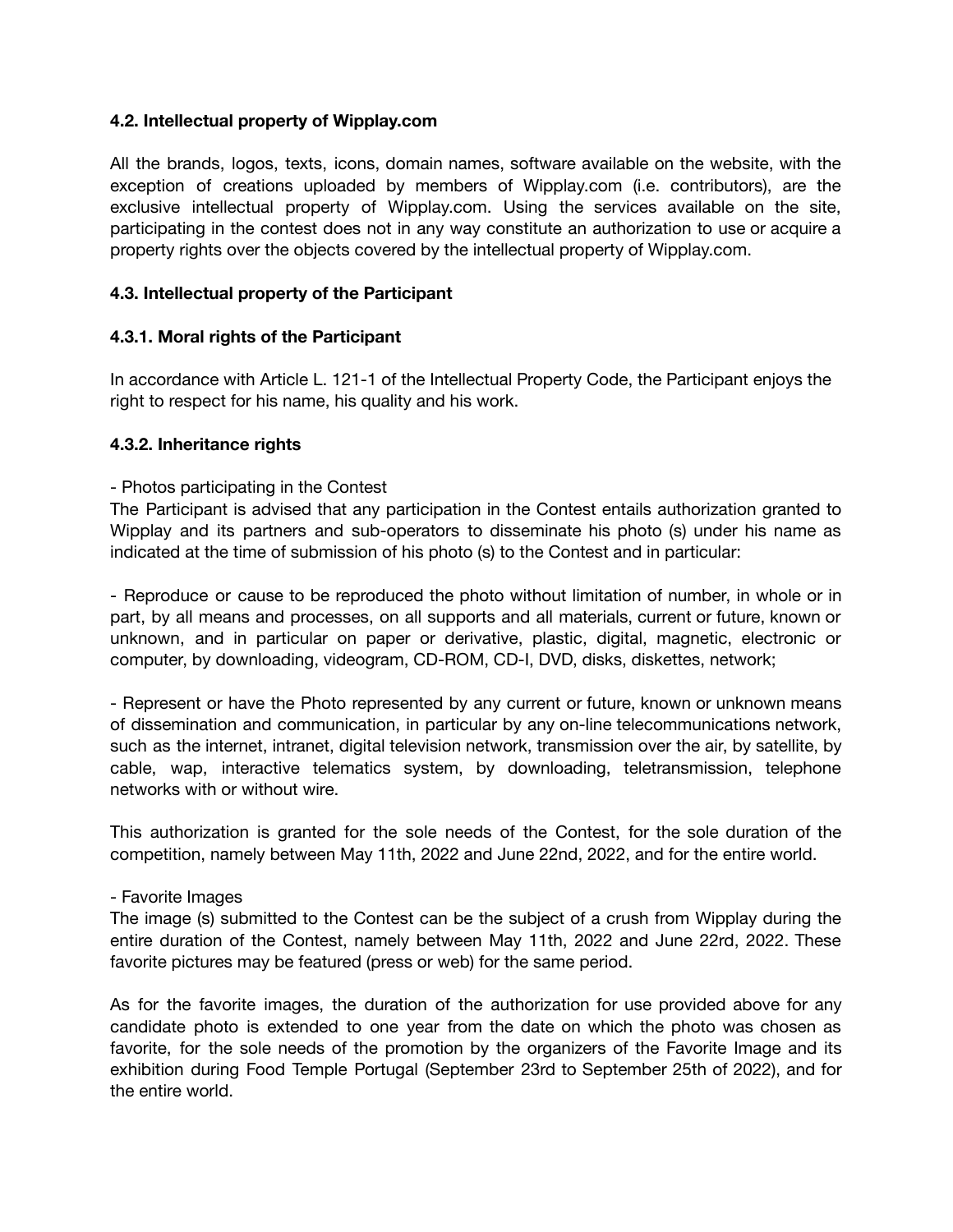# **4.2. Intellectual property of Wipplay.com**

All the brands, logos, texts, icons, domain names, software available on the website, with the exception of creations uploaded by members of Wipplay.com (i.e. contributors), are the exclusive intellectual property of Wipplay.com. Using the services available on the site, participating in the contest does not in any way constitute an authorization to use or acquire a property rights over the objects covered by the intellectual property of Wipplay.com.

# **4.3. Intellectual property of the Participant**

# **4.3.1. Moral rights of the Participant**

In accordance with Article L. 121-1 of the Intellectual Property Code, the Participant enjoys the right to respect for his name, his quality and his work.

#### **4.3.2. Inheritance rights**

#### - Photos participating in the Contest

The Participant is advised that any participation in the Contest entails authorization granted to Wipplay and its partners and sub-operators to disseminate his photo (s) under his name as indicated at the time of submission of his photo (s) to the Contest and in particular:

- Reproduce or cause to be reproduced the photo without limitation of number, in whole or in part, by all means and processes, on all supports and all materials, current or future, known or unknown, and in particular on paper or derivative, plastic, digital, magnetic, electronic or computer, by downloading, videogram, CD-ROM, CD-I, DVD, disks, diskettes, network;

- Represent or have the Photo represented by any current or future, known or unknown means of dissemination and communication, in particular by any on-line telecommunications network, such as the internet, intranet, digital television network, transmission over the air, by satellite, by cable, wap, interactive telematics system, by downloading, teletransmission, telephone networks with or without wire.

This authorization is granted for the sole needs of the Contest, for the sole duration of the competition, namely between May 11th, 2022 and June 22nd, 2022, and for the entire world.

#### - Favorite Images

The image (s) submitted to the Contest can be the subject of a crush from Wipplay during the entire duration of the Contest, namely between May 11th, 2022 and June 22rd, 2022. These favorite pictures may be featured (press or web) for the same period.

As for the favorite images, the duration of the authorization for use provided above for any candidate photo is extended to one year from the date on which the photo was chosen as favorite, for the sole needs of the promotion by the organizers of the Favorite Image and its exhibition during Food Temple Portugal (September 23rd to September 25th of 2022), and for the entire world.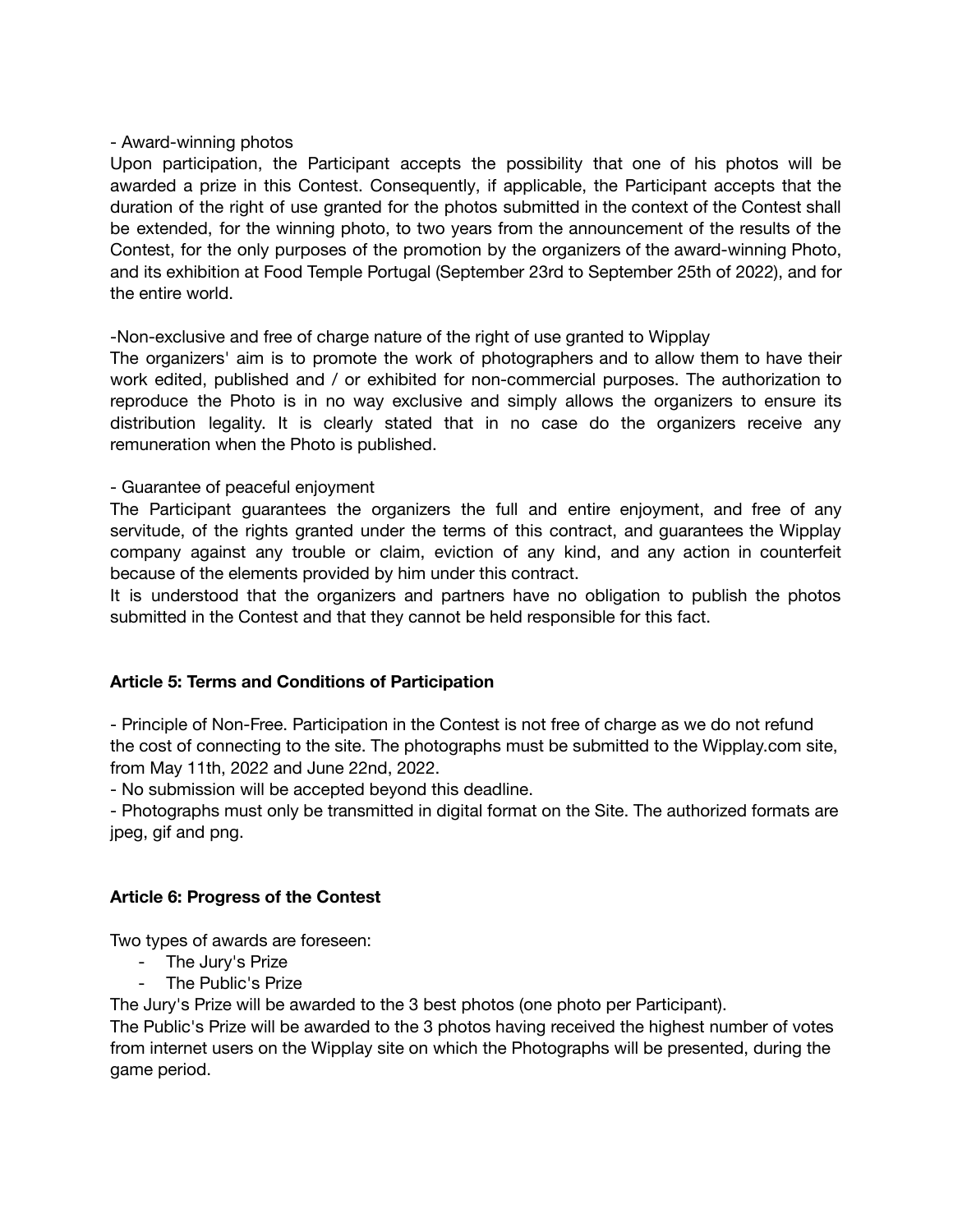### - Award-winning photos

Upon participation, the Participant accepts the possibility that one of his photos will be awarded a prize in this Contest. Consequently, if applicable, the Participant accepts that the duration of the right of use granted for the photos submitted in the context of the Contest shall be extended, for the winning photo, to two years from the announcement of the results of the Contest, for the only purposes of the promotion by the organizers of the award-winning Photo, and its exhibition at Food Temple Portugal (September 23rd to September 25th of 2022), and for the entire world.

-Non-exclusive and free of charge nature of the right of use granted to Wipplay

The organizers' aim is to promote the work of photographers and to allow them to have their work edited, published and / or exhibited for non-commercial purposes. The authorization to reproduce the Photo is in no way exclusive and simply allows the organizers to ensure its distribution legality. It is clearly stated that in no case do the organizers receive any remuneration when the Photo is published.

# - Guarantee of peaceful enjoyment

The Participant guarantees the organizers the full and entire enjoyment, and free of any servitude, of the rights granted under the terms of this contract, and guarantees the Wipplay company against any trouble or claim, eviction of any kind, and any action in counterfeit because of the elements provided by him under this contract.

It is understood that the organizers and partners have no obligation to publish the photos submitted in the Contest and that they cannot be held responsible for this fact.

# **Article 5: Terms and Conditions of Participation**

- Principle of Non-Free. Participation in the Contest is not free of charge as we do not refund the cost of connecting to the site. The photographs must be submitted to the Wipplay.com site, from May 11th, 2022 and June 22nd, 2022.

- No submission will be accepted beyond this deadline.

- Photographs must only be transmitted in digital format on the Site. The authorized formats are jpeg, gif and png.

# **Article 6: Progress of the Contest**

Two types of awards are foreseen:

- The Jury's Prize
- The Public's Prize

The Jury's Prize will be awarded to the 3 best photos (one photo per Participant).

The Public's Prize will be awarded to the 3 photos having received the highest number of votes from internet users on the Wipplay site on which the Photographs will be presented, during the game period.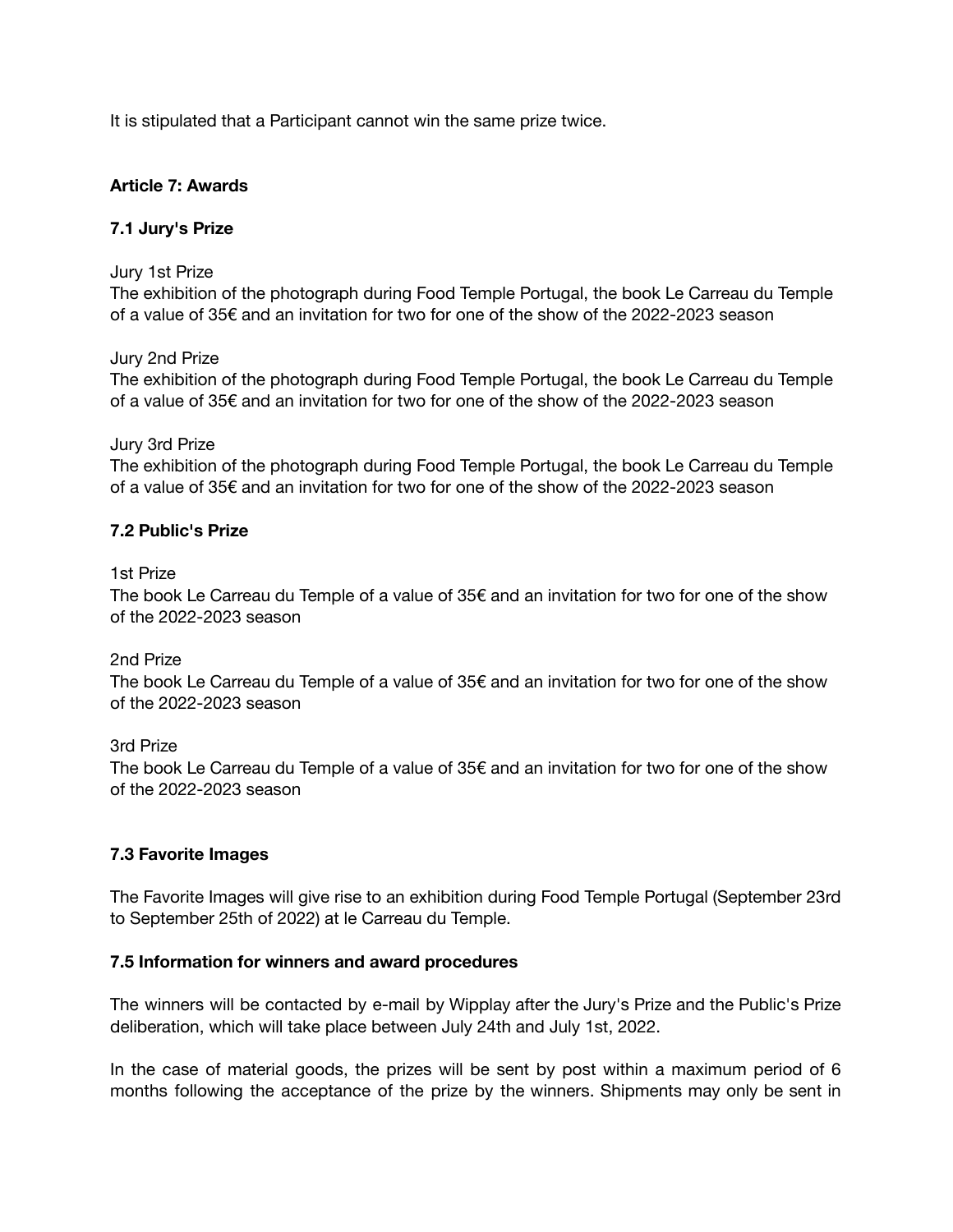It is stipulated that a Participant cannot win the same prize twice.

# **Article 7: Awards**

# **7.1 Jury's Prize**

### Jury 1st Prize

The exhibition of the photograph during Food Temple Portugal, the book Le Carreau du Temple of a value of 35€ and an invitation for two for one of the show of the 2022-2023 season

# Jury 2nd Prize

The exhibition of the photograph during Food Temple Portugal, the book Le Carreau du Temple of a value of 35€ and an invitation for two for one of the show of the 2022-2023 season

#### Jury 3rd Prize

The exhibition of the photograph during Food Temple Portugal, the book Le Carreau du Temple of a value of 35€ and an invitation for two for one of the show of the 2022-2023 season

# **7.2 Public's Prize**

### 1st Prize

The book Le Carreau du Temple of a value of 35 $\epsilon$  and an invitation for two for one of the show of the 2022-2023 season

# 2nd Prize

The book Le Carreau du Temple of a value of  $35 $\epsilon$  and an invitation for two for one of the show$ of the 2022-2023 season

# 3rd Prize

The book Le Carreau du Temple of a value of 35 $\epsilon$  and an invitation for two for one of the show of the 2022-2023 season

# **7.3 Favorite Images**

The Favorite Images will give rise to an exhibition during Food Temple Portugal (September 23rd to September 25th of 2022) at le Carreau du Temple.

# **7.5 Information for winners and award procedures**

The winners will be contacted by e-mail by Wipplay after the Jury's Prize and the Public's Prize deliberation, which will take place between July 24th and July 1st, 2022.

In the case of material goods, the prizes will be sent by post within a maximum period of 6 months following the acceptance of the prize by the winners. Shipments may only be sent in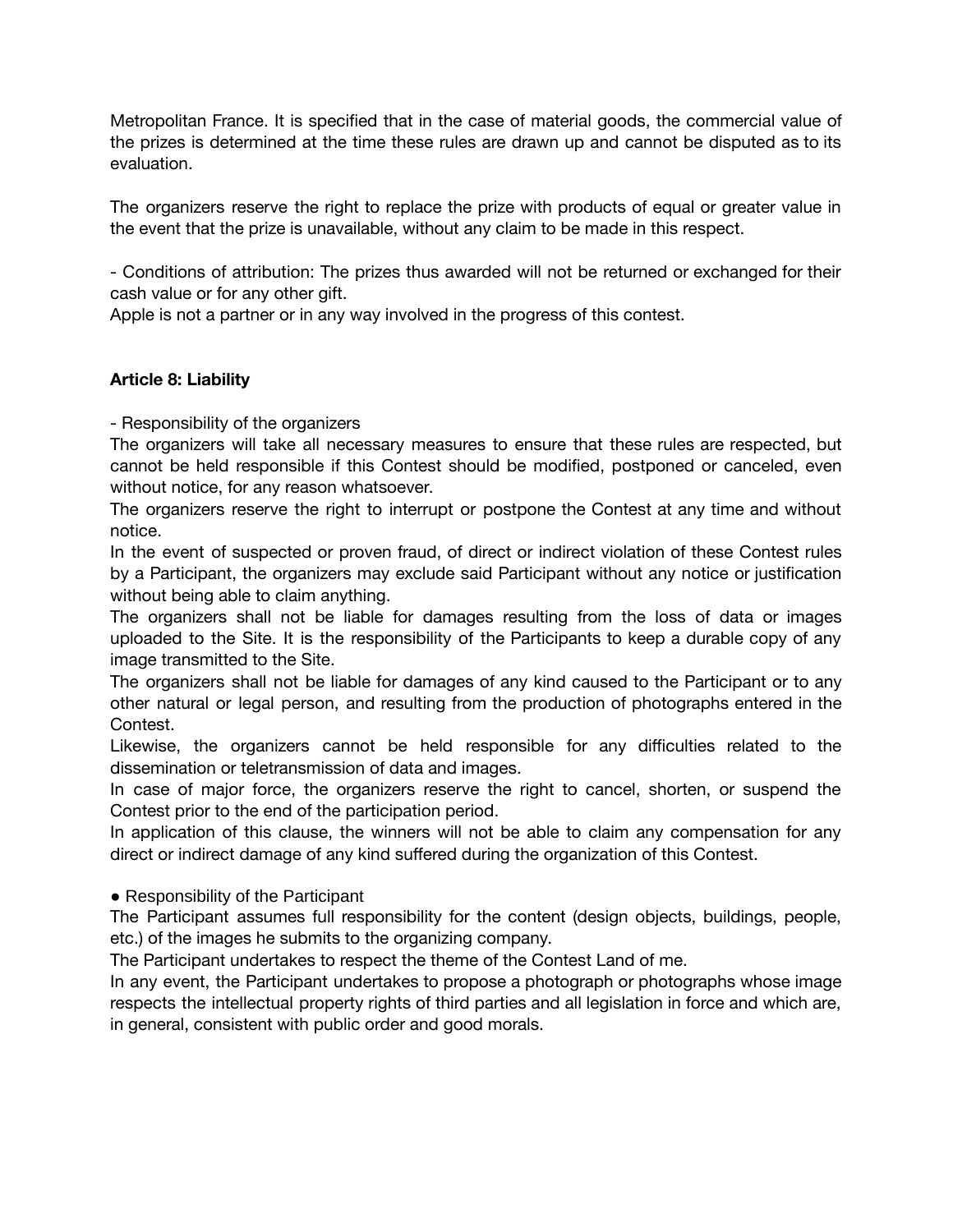Metropolitan France. It is specified that in the case of material goods, the commercial value of the prizes is determined at the time these rules are drawn up and cannot be disputed as to its evaluation.

The organizers reserve the right to replace the prize with products of equal or greater value in the event that the prize is unavailable, without any claim to be made in this respect.

- Conditions of attribution: The prizes thus awarded will not be returned or exchanged for their cash value or for any other gift.

Apple is not a partner or in any way involved in the progress of this contest.

# **Article 8: Liability**

- Responsibility of the organizers

The organizers will take all necessary measures to ensure that these rules are respected, but cannot be held responsible if this Contest should be modified, postponed or canceled, even without notice, for any reason whatsoever.

The organizers reserve the right to interrupt or postpone the Contest at any time and without notice.

In the event of suspected or proven fraud, of direct or indirect violation of these Contest rules by a Participant, the organizers may exclude said Participant without any notice or justification without being able to claim anything.

The organizers shall not be liable for damages resulting from the loss of data or images uploaded to the Site. It is the responsibility of the Participants to keep a durable copy of any image transmitted to the Site.

The organizers shall not be liable for damages of any kind caused to the Participant or to any other natural or legal person, and resulting from the production of photographs entered in the Contest.

Likewise, the organizers cannot be held responsible for any difficulties related to the dissemination or teletransmission of data and images.

In case of major force, the organizers reserve the right to cancel, shorten, or suspend the Contest prior to the end of the participation period.

In application of this clause, the winners will not be able to claim any compensation for any direct or indirect damage of any kind suffered during the organization of this Contest.

• Responsibility of the Participant

The Participant assumes full responsibility for the content (design objects, buildings, people, etc.) of the images he submits to the organizing company.

The Participant undertakes to respect the theme of the Contest Land of me.

In any event, the Participant undertakes to propose a photograph or photographs whose image respects the intellectual property rights of third parties and all legislation in force and which are, in general, consistent with public order and good morals.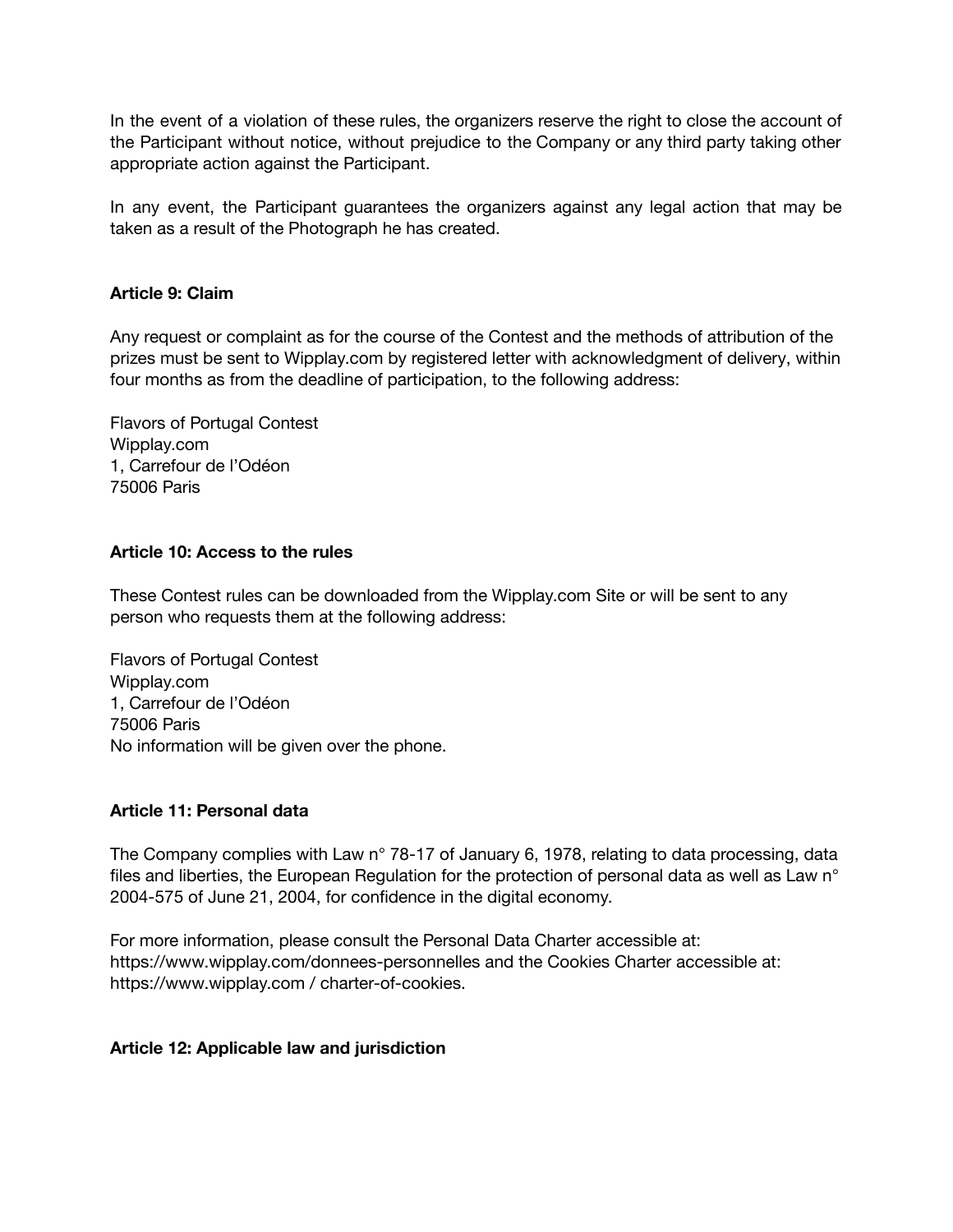In the event of a violation of these rules, the organizers reserve the right to close the account of the Participant without notice, without prejudice to the Company or any third party taking other appropriate action against the Participant.

In any event, the Participant guarantees the organizers against any legal action that may be taken as a result of the Photograph he has created.

# **Article 9: Claim**

Any request or complaint as for the course of the Contest and the methods of attribution of the prizes must be sent to Wipplay.com by registered letter with acknowledgment of delivery, within four months as from the deadline of participation, to the following address:

Flavors of Portugal Contest Wipplay.com 1, Carrefour de l'Odéon 75006 Paris

# **Article 10: Access to the rules**

These Contest rules can be downloaded from the Wipplay.com Site or will be sent to any person who requests them at the following address:

Flavors of Portugal Contest Wipplay.com 1, Carrefour de l'Odéon 75006 Paris No information will be given over the phone.

# **Article 11: Personal data**

The Company complies with Law n° 78-17 of January 6, 1978, relating to data processing, data files and liberties, the European Regulation for the protection of personal data as well as Law n° 2004-575 of June 21, 2004, for confidence in the digital economy.

For more information, please consult the Personal Data Charter accessible at: https://www.wipplay.com/donnees-personnelles and the Cookies Charter accessible at: https://www.wipplay.com / charter-of-cookies.

# **Article 12: Applicable law and jurisdiction**